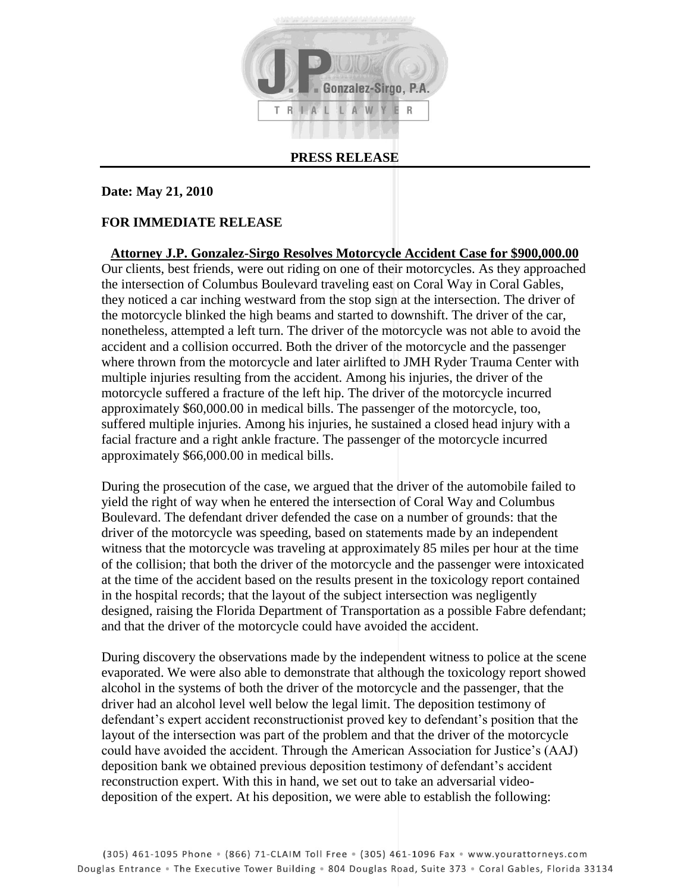

## **PRESS RELEASE**

## **Date: May 21, 2010**

## **FOR IMMEDIATE RELEASE**

**Attorney J.P. Gonzalez-Sirgo Resolves Motorcycle Accident Case for \$900,000.00** Our clients, best friends, were out riding on one of their motorcycles. As they approached the intersection of Columbus Boulevard traveling east on Coral Way in Coral Gables, they noticed a car inching westward from the stop sign at the intersection. The driver of the motorcycle blinked the high beams and started to downshift. The driver of the car, nonetheless, attempted a left turn. The driver of the motorcycle was not able to avoid the accident and a collision occurred. Both the driver of the motorcycle and the passenger where thrown from the motorcycle and later airlifted to JMH Ryder Trauma Center with multiple injuries resulting from the accident. Among his injuries, the driver of the motorcycle suffered a fracture of the left hip. The driver of the motorcycle incurred approximately \$60,000.00 in medical bills. The passenger of the motorcycle, too, suffered multiple injuries. Among his injuries, he sustained a closed head injury with a facial fracture and a right ankle fracture. The passenger of the motorcycle incurred approximately \$66,000.00 in medical bills.

During the prosecution of the case, we argued that the driver of the automobile failed to yield the right of way when he entered the intersection of Coral Way and Columbus Boulevard. The defendant driver defended the case on a number of grounds: that the driver of the motorcycle was speeding, based on statements made by an independent witness that the motorcycle was traveling at approximately 85 miles per hour at the time of the collision; that both the driver of the motorcycle and the passenger were intoxicated at the time of the accident based on the results present in the toxicology report contained in the hospital records; that the layout of the subject intersection was negligently designed, raising the Florida Department of Transportation as a possible Fabre defendant; and that the driver of the motorcycle could have avoided the accident.

During discovery the observations made by the independent witness to police at the scene evaporated. We were also able to demonstrate that although the toxicology report showed alcohol in the systems of both the driver of the motorcycle and the passenger, that the driver had an alcohol level well below the legal limit. The deposition testimony of defendant's expert accident reconstructionist proved key to defendant's position that the layout of the intersection was part of the problem and that the driver of the motorcycle could have avoided the accident. Through the American Association for Justice's (AAJ) deposition bank we obtained previous deposition testimony of defendant's accident reconstruction expert. With this in hand, we set out to take an adversarial videodeposition of the expert. At his deposition, we were able to establish the following: